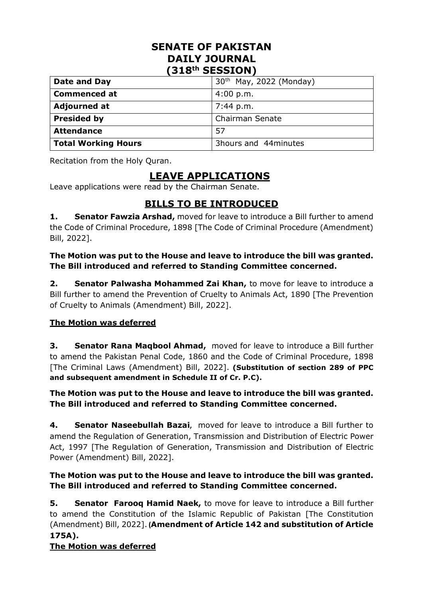## **SENATE OF PAKISTAN DAILY JOURNAL (318th SESSION)**

| Date and Day               | 30 <sup>th</sup> May, 2022 (Monday) |
|----------------------------|-------------------------------------|
| <b>Commenced at</b>        | 4:00 p.m.                           |
| <b>Adjourned at</b>        | 7:44 p.m.                           |
| <b>Presided by</b>         | Chairman Senate                     |
| <b>Attendance</b>          | 57                                  |
| <b>Total Working Hours</b> | 3hours and 44minutes                |

Recitation from the Holy Quran.

# **LEAVE APPLICATIONS**

Leave applications were read by the Chairman Senate.

## **BILLS TO BE INTRODUCED**

**1. Senator Fawzia Arshad,** moved for leave to introduce a Bill further to amend the Code of Criminal Procedure, 1898 [The Code of Criminal Procedure (Amendment) Bill, 2022].

**The Motion was put to the House and leave to introduce the bill was granted. The Bill introduced and referred to Standing Committee concerned.**

**2. Senator Palwasha Mohammed Zai Khan,** to move for leave to introduce a Bill further to amend the Prevention of Cruelty to Animals Act, 1890 [The Prevention of Cruelty to Animals (Amendment) Bill, 2022].

## **The Motion was deferred**

**3. Senator Rana Maqbool Ahmad,** moved for leave to introduce a Bill further to amend the Pakistan Penal Code, 1860 and the Code of Criminal Procedure, 1898 [The Criminal Laws (Amendment) Bill, 2022]. **(Substitution of section 289 of PPC and subsequent amendment in Schedule II of Cr. P.C).**

## **The Motion was put to the House and leave to introduce the bill was granted. The Bill introduced and referred to Standing Committee concerned.**

**4. Senator Naseebullah Bazai,** moved for leave to introduce a Bill further to amend the Regulation of Generation, Transmission and Distribution of Electric Power Act, 1997 [The Regulation of Generation, Transmission and Distribution of Electric Power (Amendment) Bill, 2022].

## **The Motion was put to the House and leave to introduce the bill was granted. The Bill introduced and referred to Standing Committee concerned.**

**5. Senator Farooq Hamid Naek,** to move for leave to introduce a Bill further to amend the Constitution of the Islamic Republic of Pakistan [The Constitution (Amendment) Bill, 2022].**(Amendment of Article 142 and substitution of Article 175A).**

## **The Motion was deferred**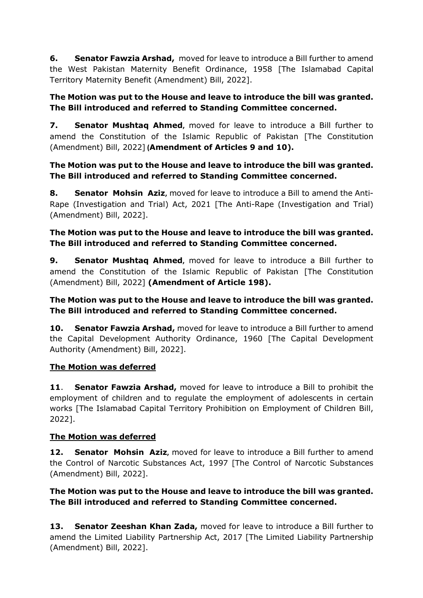**6. Senator Fawzia Arshad,** moved for leave to introduce a Bill further to amend the West Pakistan Maternity Benefit Ordinance, 1958 [The Islamabad Capital Territory Maternity Benefit (Amendment) Bill, 2022].

## **The Motion was put to the House and leave to introduce the bill was granted. The Bill introduced and referred to Standing Committee concerned.**

**7. Senator Mushtaq Ahmed,** moved for leave to introduce a Bill further to amend the Constitution of the Islamic Republic of Pakistan [The Constitution (Amendment) Bill, 2022] **(Amendment of Articles 9 and 10).**

## **The Motion was put to the House and leave to introduce the bill was granted. The Bill introduced and referred to Standing Committee concerned.**

**8. Senator Mohsin Aziz,** moved for leave to introduce a Bill to amend the Anti-Rape (Investigation and Trial) Act, 2021 [The Anti-Rape (Investigation and Trial) (Amendment) Bill, 2022].

## **The Motion was put to the House and leave to introduce the bill was granted. The Bill introduced and referred to Standing Committee concerned.**

**9. Senator Mushtaq Ahmed,** moved for leave to introduce a Bill further to amend the Constitution of the Islamic Republic of Pakistan [The Constitution (Amendment) Bill, 2022] **(Amendment of Article 198).**

## **The Motion was put to the House and leave to introduce the bill was granted. The Bill introduced and referred to Standing Committee concerned.**

**10. Senator Fawzia Arshad,** moved for leave to introduce a Bill further to amend the Capital Development Authority Ordinance, 1960 [The Capital Development Authority (Amendment) Bill, 2022].

## **The Motion was deferred**

**11**. **Senator Fawzia Arshad,** moved for leave to introduce a Bill to prohibit the employment of children and to regulate the employment of adolescents in certain works [The Islamabad Capital Territory Prohibition on Employment of Children Bill, 2022].

## **The Motion was deferred**

**12. Senator Mohsin Aziz,** moved for leave to introduce a Bill further to amend the Control of Narcotic Substances Act, 1997 [The Control of Narcotic Substances (Amendment) Bill, 2022].

## **The Motion was put to the House and leave to introduce the bill was granted. The Bill introduced and referred to Standing Committee concerned.**

**13. Senator Zeeshan Khan Zada,** moved for leave to introduce a Bill further to amend the Limited Liability Partnership Act, 2017 [The Limited Liability Partnership (Amendment) Bill, 2022].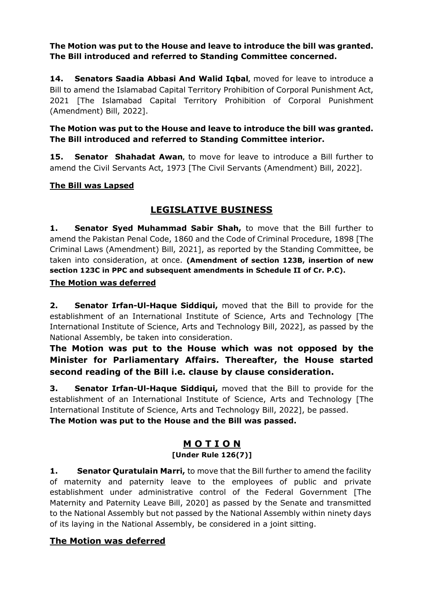**The Motion was put to the House and leave to introduce the bill was granted. The Bill introduced and referred to Standing Committee concerned.**

**14. Senators Saadia Abbasi And Walid Iqbal,** moved for leave to introduce a Bill to amend the Islamabad Capital Territory Prohibition of Corporal Punishment Act, 2021 [The Islamabad Capital Territory Prohibition of Corporal Punishment (Amendment) Bill, 2022].

## **The Motion was put to the House and leave to introduce the bill was granted. The Bill introduced and referred to Standing Committee interior.**

**15. Senator Shahadat Awan,** to move for leave to introduce a Bill further to amend the Civil Servants Act, 1973 [The Civil Servants (Amendment) Bill, 2022].

## **The Bill was Lapsed**

## **LEGISLATIVE BUSINESS**

**1. Senator Syed Muhammad Sabir Shah,** to move that the Bill further to amend the Pakistan Penal Code, 1860 and the Code of Criminal Procedure, 1898 [The Criminal Laws (Amendment) Bill, 2021], as reported by the Standing Committee, be taken into consideration, at once. **(Amendment of section 123B, insertion of new section 123C in PPC and subsequent amendments in Schedule II of Cr. P.C).**

## **The Motion was deferred**

**2. Senator Irfan-Ul-Haque Siddiqui,** moved that the Bill to provide for the establishment of an International Institute of Science, Arts and Technology [The International Institute of Science, Arts and Technology Bill, 2022], as passed by the National Assembly, be taken into consideration.

## **The Motion was put to the House which was not opposed by the Minister for Parliamentary Affairs. Thereafter, the House started second reading of the Bill i.e. clause by clause consideration.**

**3. Senator Irfan-Ul-Haque Siddiqui,** moved that the Bill to provide for the establishment of an International Institute of Science, Arts and Technology [The International Institute of Science, Arts and Technology Bill, 2022], be passed. **The Motion was put to the House and the Bill was passed.**

## **M O T I O N [Under Rule 126(7)]**

**1. Senator Quratulain Marri,** to move that the Bill further to amend the facility of maternity and paternity leave to the employees of public and private establishment under administrative control of the Federal Government [The Maternity and Paternity Leave Bill, 2020] as passed by the Senate and transmitted to the National Assembly but not passed by the National Assembly within ninety days of its laying in the National Assembly, be considered in a joint sitting.

## **The Motion was deferred**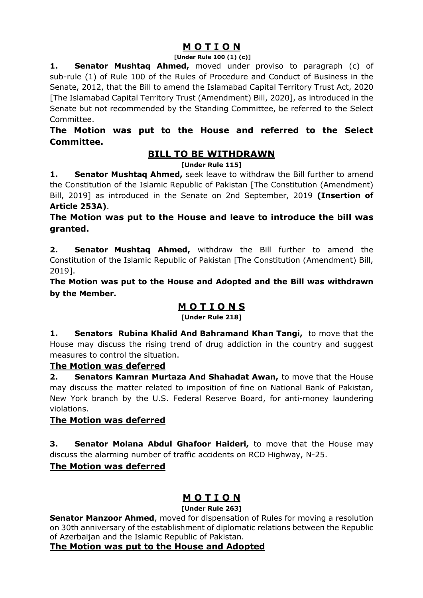## **M O T I O N**

#### **[Under Rule 100 (1) (c)]**

**1. Senator Mushtaq Ahmed,** moved under proviso to paragraph (c) of sub-rule (1) of Rule 100 of the Rules of Procedure and Conduct of Business in the Senate, 2012, that the Bill to amend the Islamabad Capital Territory Trust Act, 2020 [The Islamabad Capital Territory Trust (Amendment) Bill, 2020], as introduced in the Senate but not recommended by the Standing Committee, be referred to the Select Committee.

## **The Motion was put to the House and referred to the Select Committee.**

## **BILL TO BE WITHDRAWN**

#### **[Under Rule 115]**

**1. Senator Mushtaq Ahmed,** seek leave to withdraw the Bill further to amend the Constitution of the Islamic Republic of Pakistan [The Constitution (Amendment) Bill, 2019] as introduced in the Senate on 2nd September, 2019 **(Insertion of Article 253A)**.

**The Motion was put to the House and leave to introduce the bill was granted.**

**2. Senator Mushtaq Ahmed,** withdraw the Bill further to amend the Constitution of the Islamic Republic of Pakistan [The Constitution (Amendment) Bill, 2019].

**The Motion was put to the House and Adopted and the Bill was withdrawn by the Member.**

## **M O T I O N S**

**[Under Rule 218]**

**1. Senators Rubina Khalid And Bahramand Khan Tangi,** to move that the House may discuss the rising trend of drug addiction in the country and suggest measures to control the situation.

## **The Motion was deferred**

**2. Senators Kamran Murtaza And Shahadat Awan,** to move that the House may discuss the matter related to imposition of fine on National Bank of Pakistan, New York branch by the U.S. Federal Reserve Board, for anti-money laundering violations.

## **The Motion was deferred**

**3. Senator Molana Abdul Ghafoor Haideri,** to move that the House may discuss the alarming number of traffic accidents on RCD Highway, N-25.

## **The Motion was deferred**

## **M O T I O N**

#### **[Under Rule 263]**

**Senator Manzoor Ahmed**, moved for dispensation of Rules for moving a resolution on 30th anniversary of the establishment of diplomatic relations between the Republic of Azerbaijan and the Islamic Republic of Pakistan.

## **The Motion was put to the House and Adopted**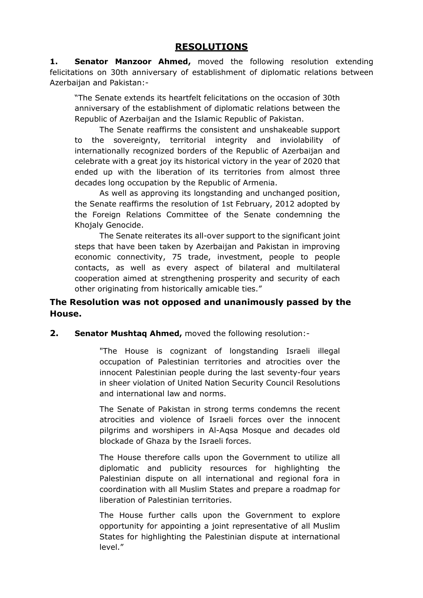**1. Senator Manzoor Ahmed,** moved the following resolution extending felicitations on 30th anniversary of establishment of diplomatic relations between Azerbaijan and Pakistan:-

"The Senate extends its heartfelt felicitations on the occasion of 30th anniversary of the establishment of diplomatic relations between the Republic of Azerbaijan and the Islamic Republic of Pakistan.

The Senate reaffirms the consistent and unshakeable support to the sovereignty, territorial integrity and inviolability of internationally recognized borders of the Republic of Azerbaijan and celebrate with a great joy its historical victory in the year of 2020 that ended up with the liberation of its territories from almost three decades long occupation by the Republic of Armenia.

As well as approving its longstanding and unchanged position, the Senate reaffirms the resolution of 1st February, 2012 adopted by the Foreign Relations Committee of the Senate condemning the Khojaly Genocide.

The Senate reiterates its all-over support to the significant joint steps that have been taken by Azerbaijan and Pakistan in improving economic connectivity, 75 trade, investment, people to people contacts, as well as every aspect of bilateral and multilateral cooperation aimed at strengthening prosperity and security of each other originating from historically amicable ties."

## **The Resolution was not opposed and unanimously passed by the House.**

#### **2. Senator Mushtaq Ahmed,** moved the following resolution:-

"The House is cognizant of longstanding Israeli illegal occupation of Palestinian territories and atrocities over the innocent Palestinian people during the last seventy-four years in sheer violation of United Nation Security Council Resolutions and international law and norms.

The Senate of Pakistan in strong terms condemns the recent atrocities and violence of Israeli forces over the innocent pilgrims and worshipers in Al-Aqsa Mosque and decades old blockade of Ghaza by the Israeli forces.

The House therefore calls upon the Government to utilize all diplomatic and publicity resources for highlighting the Palestinian dispute on all international and regional fora in coordination with all Muslim States and prepare a roadmap for liberation of Palestinian territories.

The House further calls upon the Government to explore opportunity for appointing a joint representative of all Muslim States for highlighting the Palestinian dispute at international level."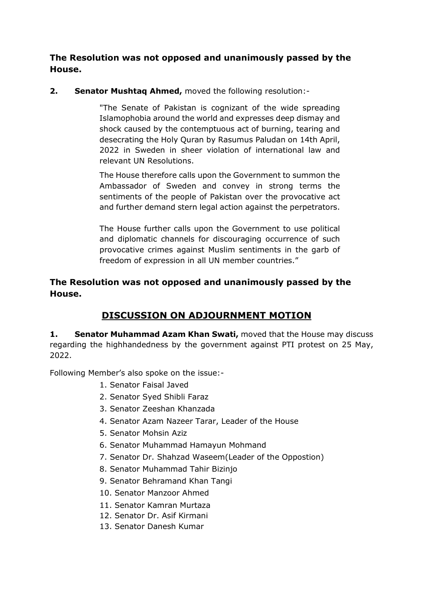**The Resolution was not opposed and unanimously passed by the House.**

**2. Senator Mushtaq Ahmed,** moved the following resolution:-

"The Senate of Pakistan is cognizant of the wide spreading Islamophobia around the world and expresses deep dismay and shock caused by the contemptuous act of burning, tearing and desecrating the Holy Quran by Rasumus Paludan on 14th April, 2022 in Sweden in sheer violation of international law and relevant UN Resolutions.

The House therefore calls upon the Government to summon the Ambassador of Sweden and convey in strong terms the sentiments of the people of Pakistan over the provocative act and further demand stern legal action against the perpetrators.

The House further calls upon the Government to use political and diplomatic channels for discouraging occurrence of such provocative crimes against Muslim sentiments in the garb of freedom of expression in all UN member countries."

## **The Resolution was not opposed and unanimously passed by the House.**

## **DISCUSSION ON ADJOURNMENT MOTION**

**1. Senator Muhammad Azam Khan Swati,** moved that the House may discuss regarding the highhandedness by the government against PTI protest on 25 May, 2022.

Following Member's also spoke on the issue:-

- 1. Senator Faisal Javed
- 2. Senator Syed Shibli Faraz
- 3. Senator Zeeshan Khanzada
- 4. Senator Azam Nazeer Tarar, Leader of the House
- 5. Senator Mohsin Aziz
- 6. Senator Muhammad Hamayun Mohmand
- 7. Senator Dr. Shahzad Waseem(Leader of the Oppostion)
- 8. Senator Muhammad Tahir Bizinjo
- 9. Senator Behramand Khan Tangi
- 10. Senator Manzoor Ahmed
- 11. Senator Kamran Murtaza
- 12. Senator Dr. Asif Kirmani
- 13. Senator Danesh Kumar